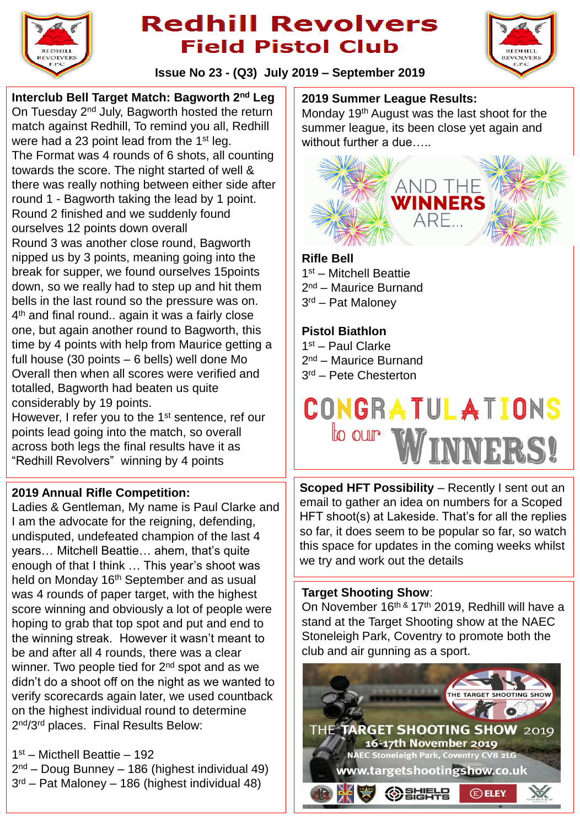

## **Redhill Revolvers Field Pistol Club**



**Issue No 23 - (Q3) July 2019 – September 2019**

**Interclub Bell Target Match: Bagworth 2nd Leg** On Tuesday 2nd July, Bagworth hosted the return match against Redhill, To remind you all, Redhill were had a 23 point lead from the 1<sup>st</sup> leg. The Format was 4 rounds of 6 shots, all counting towards the score. The night started of well & there was really nothing between either side after round 1 - Bagworth taking the lead by 1 point. Round 2 finished and we suddenly found ourselves 12 points down overall Round 3 was another close round, Bagworth nipped us by 3 points, meaning going into the break for supper, we found ourselves 15points down, so we really had to step up and hit them bells in the last round so the pressure was on. 4<sup>th</sup> and final round.. again it was a fairly close one, but again another round to Bagworth, this time by 4 points with help from Maurice getting a full house (30 points – 6 bells) well done Mo Overall then when all scores were verified and totalled, Bagworth had beaten us quite considerably by 19 points.

However, I refer you to the 1<sup>st</sup> sentence, ref our points lead going into the match, so overall across both legs the final results have it as "Redhill Revolvers" winning by 4 points

#### **2019 Annual Rifle Competition:**

Ladies & Gentleman, My name is Paul Clarke and I am the advocate for the reigning, defending, undisputed, undefeated champion of the last 4 years… Mitchell Beattie… ahem, that's quite enough of that I think … This year's shoot was held on Monday 16<sup>th</sup> September and as usual was 4 rounds of paper target, with the highest score winning and obviously a lot of people were hoping to grab that top spot and put and end to the winning streak. However it wasn't meant to be and after all 4 rounds, there was a clear winner. Two people tied for 2<sup>nd</sup> spot and as we didn't do a shoot off on the night as we wanted to verify scorecards again later, we used countback on the highest individual round to determine 2<sup>nd</sup>/3<sup>rd</sup> places. Final Results Below:

- 1 st Micthell Beattie 192
- 2<sup>nd</sup> Doug Bunney 186 (highest individual 49)
- 3 rd Pat Maloney 186 (highest individual 48)

## **2019 Summer League Results:**

Monday 19th August was the last shoot for the summer league, its been close yet again and without further a due.....



#### **Rifle Bell**

1 st – Mitchell Beattie 2<sup>nd</sup> – Maurice Burnand 3 rd – Pat Maloney

## **Pistol Biathlon**

1st - Paul Clarke 2<sup>nd</sup> – Maurice Burnand 3 rd – Pete Chesterton



**Scoped HFT Possibility** – Recently I sent out an email to gather an idea on numbers for a Scoped HFT shoot(s) at Lakeside. That's for all the replies so far, it does seem to be popular so far, so watch this space for updates in the coming weeks whilst we try and work out the details

### **Target Shooting Show**:

On November 16<sup>th &</sup> 17<sup>th</sup> 2019, Redhill will have a stand at the Target Shooting show at the NAEC Stoneleigh Park, Coventry to promote both the club and air gunning as a sport.